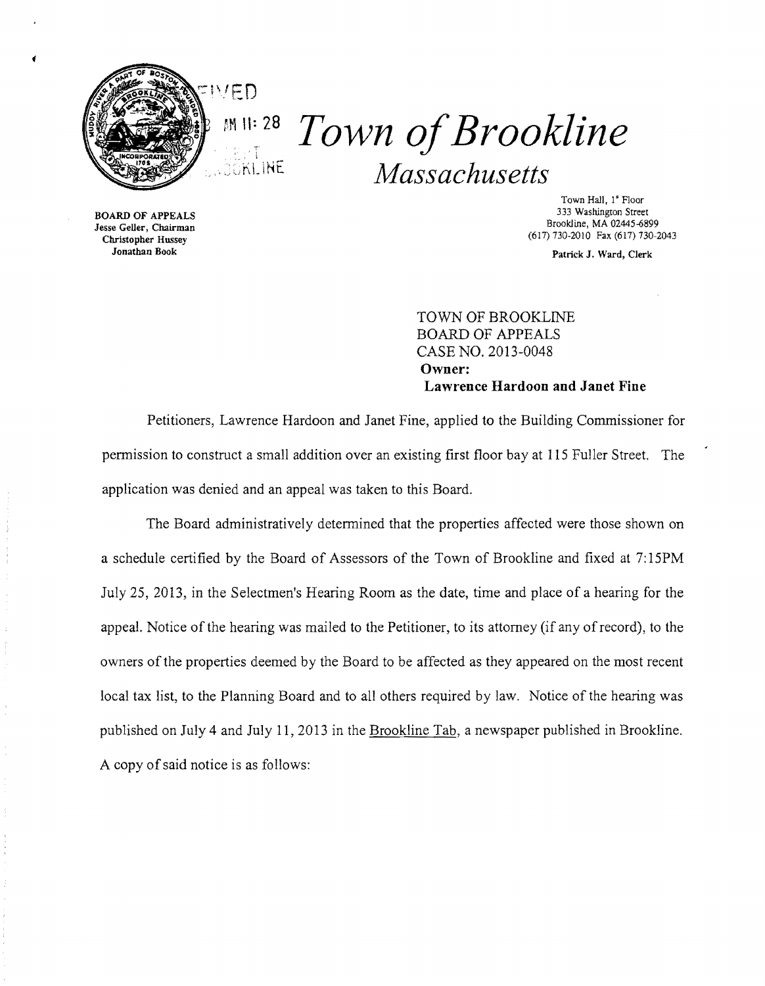

pM **\1: 28** *Town ofBrookline Massachusetts*  KILINE

BOARD OF APPEALS Jesse Geller, Chairman Christopher Hussey

Town Hall. I' Floor 333 Washington Street Brookline, MA 02445-6899 (617) 730·2010 Fax (617) 730-2043

Jonathan Book Patrick J. Ward, Clerk

TOWN OF BROOKLINE BOARD OF APPEALS CASE NO. 2013-0048 **Owner: Lawrence Hardoon and Janet Fine** 

Petitioners, Lawrence Hardoon and Janet Fine, applied to the Building Commissioner for permission to construct a small addition over an existing first floor bay at 115 Fuller Street. The application was denied and an appeal was taken to this Board.

The Board administratively determined that the properties affected were those shown on a schedule certified by the Board of Assessors of the Town of Brookline and fixed at 7:15PM July 25, 2013, in the Selectmen's Hearing Room as the date, time and place of a hearing for the appeal. Notice of the hearing was mailed to the Petitioner, to its attorney (if any ofrecord), to the owners of the properties deemed by the Board to be affected as they appeared on the most recent local tax list, to the Planning Board and to all others required by law. Notice of the hearing was published on July 4 and July 11,2013 in the Brookline Tab, a newspaper published in Brookline. A copy of said notice is as follows: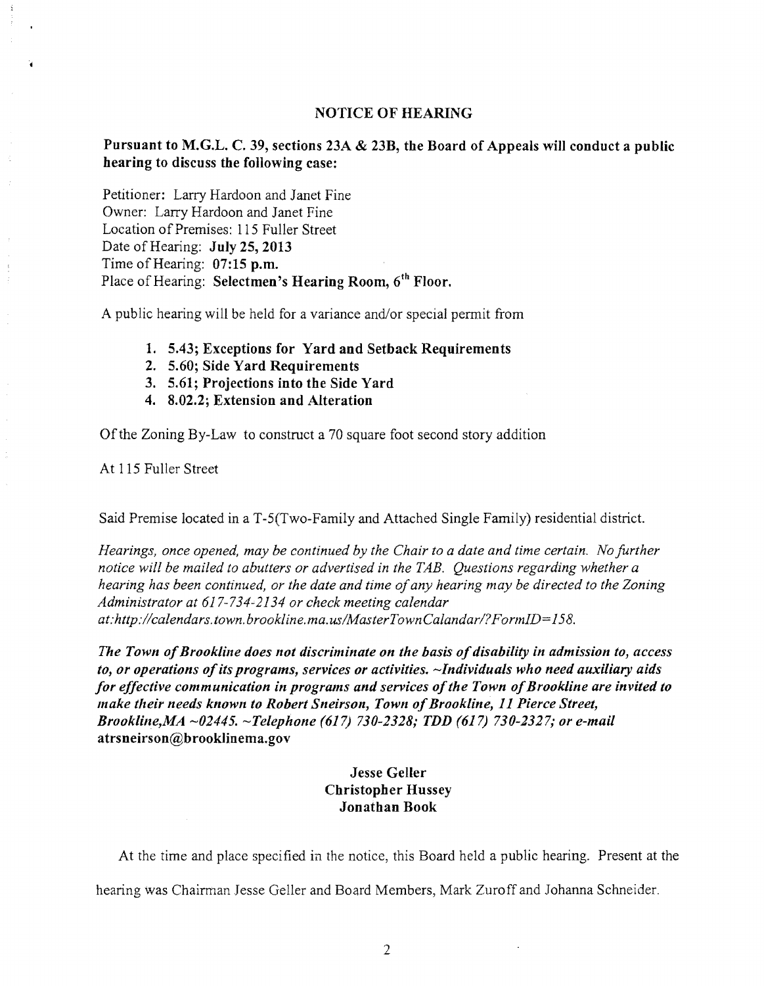## NOTICE OF HEARING

## Pursuant to M.G.L. C. 39, sections 23A & 23B, the Board of Appeals will conduct a public hearing to discuss the following case:

Petitioner: Larry Hardoon and Janet Fine Owner: Larry Hardoon and Janet Fine Location of Premises: 115 Fuller Street Date of Hearing: July 25, 2013 Time of Hearing: 07:15 p.m. Place of Hearing: Selectmen's Hearing Room, 6<sup>th</sup> Floor.

A public hearing will be held for a variance and/or special permit from

- 1. 5.43; Exceptions for Yard and Setback Requirements
- 2. 5.60; Side Yard Requirements
- 3. 5.61; Projections into the Side Yard
- 4. 8.02.2; Extension and Alteration

Ofthe Zoning By-Law to construct a 70 square foot second story addition

At 115 Fuller Street

o.

Said Premise located in a T-5(Two-Family and Attached Single Family) residential district.

*Hearings, once opened, may be continued by the Chair to a date and time certain. No further notice will be mailed to abutters or advertised in the TAB. Questions regarding whether a hearing has been continued, or the date and time ofany hearing may be directed to the Zoning Administrator at* 617-734-2134 *or check meeting calendar at:http://calendars.town. brookline. ma.uslMasterTownCaland arl?FormID=158.* 

*The Town ofBrookline does not discriminate on the basis ofdisability in admission to, access*  to, or operations of its programs, services or activities. ~Individuals who need auxiliary aids for effective communication in programs and services of the Town of Brookline are invited to *make their needs known to Robert Sneirson, Town of Brookline, 11 Pierce Street, Brookline,MA -02445. -Telephone* (617) *730-2328; TDD* (617) *730-2327; or e-mail*  atrsneirson@brookIinema.gov

## *Jesse* Geller Christopher Hussey Jonathan Book

At the time and place specified in the notice, this Board held a public hearing. Present at the

hearing was Chairman Jesse Geller and Board Members, Mark Zuroff and Johanna Schneider.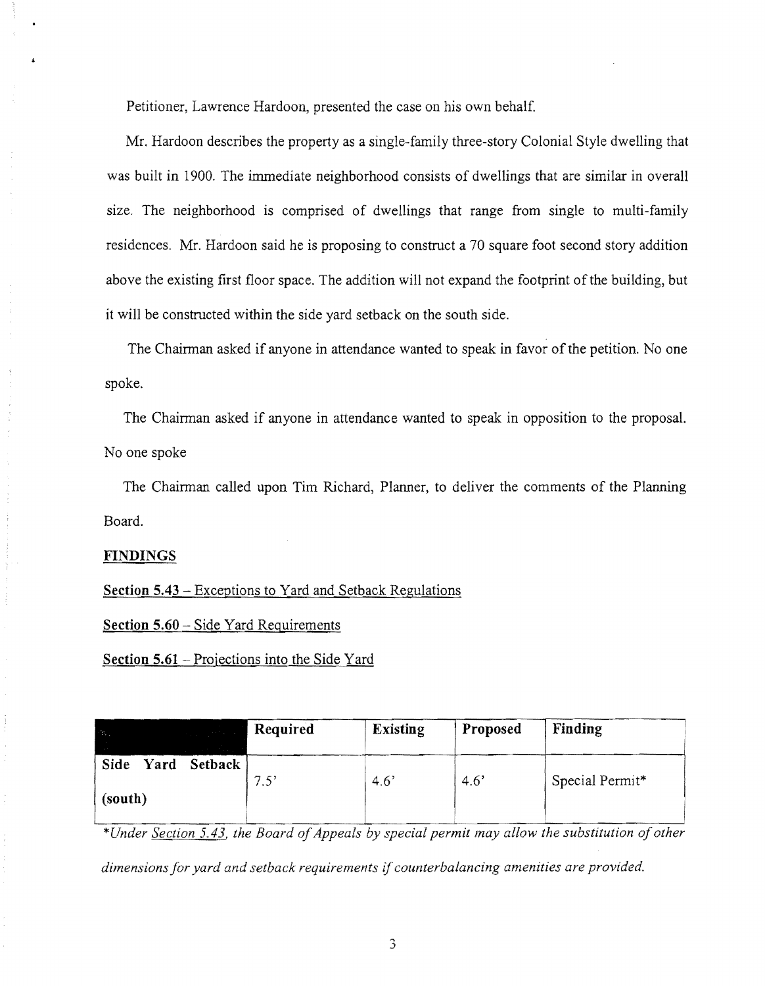Petitioner, Lawrence Hardoon, presented the case on his own behalf.

Mr. Hardoon describes the property as a single-family three-story Colonial Style dwelling that was built **in** 1900. The immediate neighborhood consists of dwellings that are similar in overall size. The neighborhood is comprised of dwellings that range from single to multi-family residences. Mr. Hardoon said he is proposing to construct a 70 square foot second story addition above the existing first floor space. The addition will not expand the footprint of the building, but it will be constructed within the side yard setback on the south side.

The Chairman asked if anyone in attendance wanted to speak in favor of the petition. No one spoke.

The Chairman asked if anyone in attendance wanted to speak in opposition to the proposal. No one spoke

The Chairman called upon Tim Richard, Planner, to deliver the comments of the Planning Board.

## **FINDINGS**

**Section 5.43** - Exceptions to Yard and Setback Regulations

**Section 5.60** – Side Yard Requirements

**Section 5.61** - Projections into the Side Yard

| $\sim 100$<br><b>The Committee of the Committee of the Committee</b> | Required | <b>Existing</b> | Proposed | Finding         |
|----------------------------------------------------------------------|----------|-----------------|----------|-----------------|
|                                                                      |          |                 |          |                 |
| Yard Setback<br>Side<br>(south)                                      | 7.5'     | 4.6'            | 4.6'     | Special Permit* |

*\*Under Section* 5.43, *the Board ofAppeals by special permit may allow the substitution ofother dimensions for yard and setback requirements* if *counterbalancing amenities are provided.*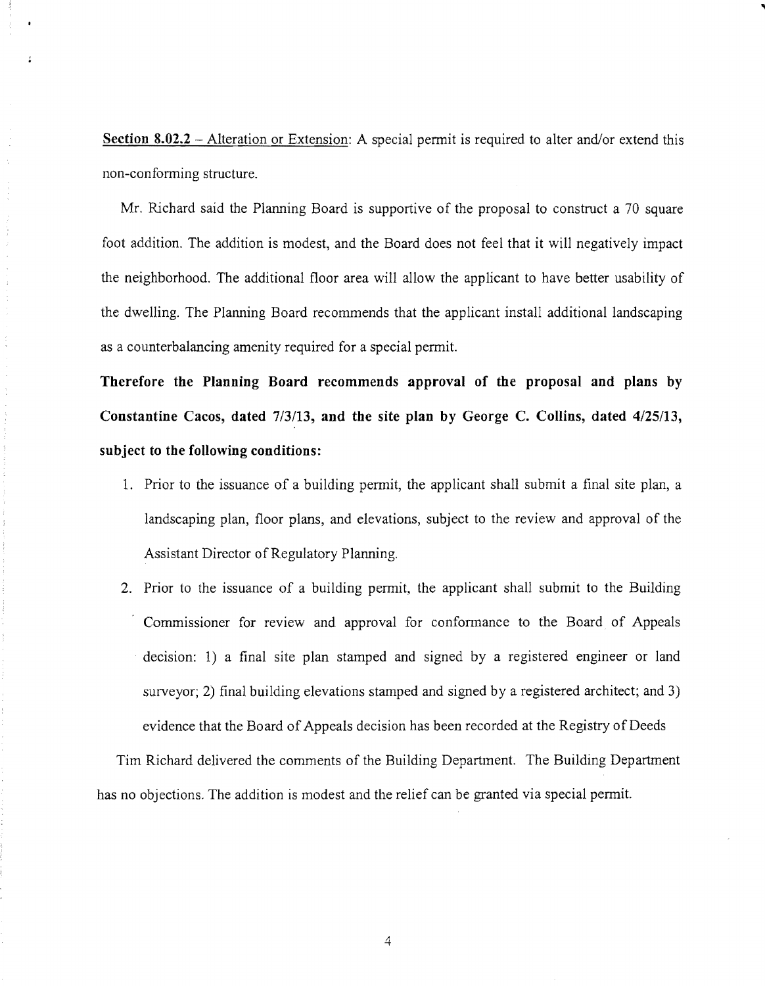**Section 8.02.2** – Alteration or Extension: A special permit is required to alter and/or extend this non-confonning structure.

Mr. Richard said the Planning Board is supportive of the proposal to construct a 70 square foot addition. The addition is modest, and the Board does not feel that it will negatively impact the neighborhood. The additional floor area will allow the applicant to have better usability of the dwelling. The Planning Board recommends that the applicant install additional landscaping as a counterbalancing amenity required for a special permit.

**Therefore the Planning Board recommends approval of the proposal and plans** by **Constantine** Cacos, **dated** 7/3113, **and the site plan** by George C. **Collins, dated** 4/25/13, **subject to the following conditions:** 

- 1. Prior to the issuance of a building permit, the applicant shall submit a final site plan, a landscaping plan, floor plans, and elevations, subject to the review and approval of the Assistant Director of Regulatory Planning.
- 2. Prior to the issuance of a building permit, the applicant shall submit to the Building Commissioner for review and approval for conformance to the Board of Appeals decision: 1) a final site plan stamped and signed by a registered engineer or land surveyor; 2) final building elevations stamped and signed by a registered architect; and 3) evidence that the Board of Appeals decision has been recorded at the Registry of Deeds

Tim Richard delivered the comments of the Building Department. The Building Department has no objections. The addition is modest and the relief can be granted via special pennit.

4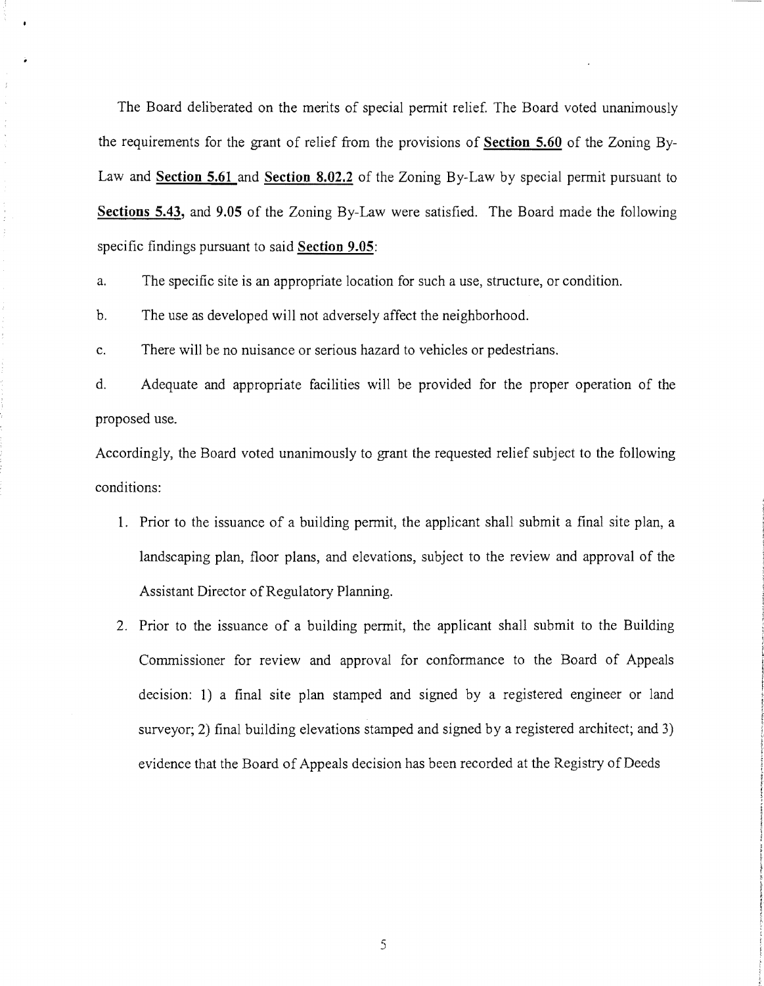The Board deliberated on the merits of special permit relief. The Board voted unanimously the requirements for the grant of relief from the provisions of **Section 5.60** of the Zoning By-Law and **Section 5.61 and Section 8.02.2** of the Zoning By-Law by special permit pursuant to **Sections 5.43, and 9.05** of the Zoning By-Law were satisfied. The Board made the following specific findings pursuant to said **Section** 9.05:

a. The specific site is an appropriate location for such a use, structure, or condition.

b. The use as developed will not adversely affect the neighborhood.

c. There will be no nuisance or serious hazard to vehicles or pedestrians.

d. Adequate and appropriate facilities will be provided for the proper operation of the proposed use.

Accordingly, the Board voted unanimously to grant the requested relief subject to the following conditions:

- 1. Prior to the issuance of a building permit, the applicant shall submit a final site plan, a landscaping plan, floor plans, and elevations, subject to the review and approval of the Assistant Director of Regulatory Planning.
- 2. Prior to the issuance of a building permit, the applicant shall submit to the Building Commissioner for review and approval for conformance to the Board of Appeals decision: 1) a final site plan stamped and signed by a registered engineer or land surveyor; 2) final building elevations stamped and signed by a registered architect; and 3) evidence that the Board of Appeals decision has been recorded at the Registry of Deeds